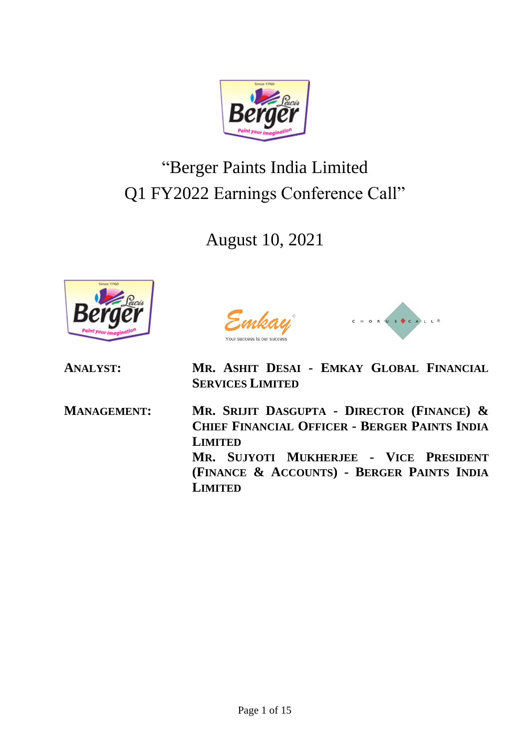

## "Berger Paints India Limited Q1 FY2022 Earnings Conference Call"

August 10, 2021





**ANALYST: MR. ASHIT DESAI - EMKAY GLOBAL FINANCIAL SERVICES LIMITED**

**MANAGEMENT: MR. SRIJIT DASGUPTA - DIRECTOR (FINANCE) & CHIEF FINANCIAL OFFICER - BERGER PAINTS INDIA LIMITED MR. SUJYOTI MUKHERJEE - VICE PRESIDENT (FINANCE & ACCOUNTS) - BERGER PAINTS INDIA LIMITED**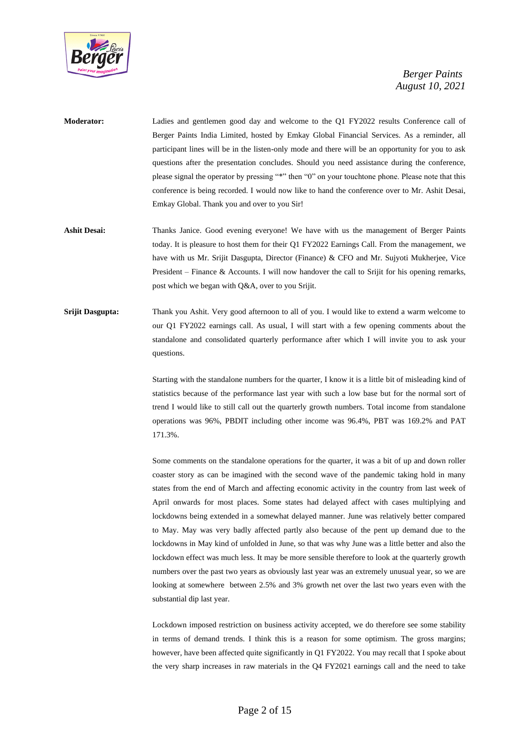

- **Moderator:** Ladies and gentlemen good day and welcome to the Q1 FY2022 results Conference call of Berger Paints India Limited, hosted by Emkay Global Financial Services. As a reminder, all participant lines will be in the listen-only mode and there will be an opportunity for you to ask questions after the presentation concludes. Should you need assistance during the conference, please signal the operator by pressing "\*" then "0" on your touchtone phone. Please note that this conference is being recorded. I would now like to hand the conference over to Mr. Ashit Desai, Emkay Global. Thank you and over to you Sir!
- **Ashit Desai:** Thanks Janice. Good evening everyone! We have with us the management of Berger Paints today. It is pleasure to host them for their Q1 FY2022 Earnings Call. From the management, we have with us Mr. Srijit Dasgupta, Director (Finance) & CFO and Mr. Sujyoti Mukherjee, Vice President – Finance & Accounts. I will now handover the call to Srijit for his opening remarks, post which we began with Q&A, over to you Srijit.
- **Srijit Dasgupta:** Thank you Ashit. Very good afternoon to all of you. I would like to extend a warm welcome to our Q1 FY2022 earnings call. As usual, I will start with a few opening comments about the standalone and consolidated quarterly performance after which I will invite you to ask your questions.

Starting with the standalone numbers for the quarter, I know it is a little bit of misleading kind of statistics because of the performance last year with such a low base but for the normal sort of trend I would like to still call out the quarterly growth numbers. Total income from standalone operations was 96%, PBDIT including other income was 96.4%, PBT was 169.2% and PAT 171.3%.

Some comments on the standalone operations for the quarter, it was a bit of up and down roller coaster story as can be imagined with the second wave of the pandemic taking hold in many states from the end of March and affecting economic activity in the country from last week of April onwards for most places. Some states had delayed affect with cases multiplying and lockdowns being extended in a somewhat delayed manner. June was relatively better compared to May. May was very badly affected partly also because of the pent up demand due to the lockdowns in May kind of unfolded in June, so that was why June was a little better and also the lockdown effect was much less. It may be more sensible therefore to look at the quarterly growth numbers over the past two years as obviously last year was an extremely unusual year, so we are looking at somewhere between 2.5% and 3% growth net over the last two years even with the substantial dip last year.

Lockdown imposed restriction on business activity accepted, we do therefore see some stability in terms of demand trends. I think this is a reason for some optimism. The gross margins; however, have been affected quite significantly in Q1 FY2022. You may recall that I spoke about the very sharp increases in raw materials in the Q4 FY2021 earnings call and the need to take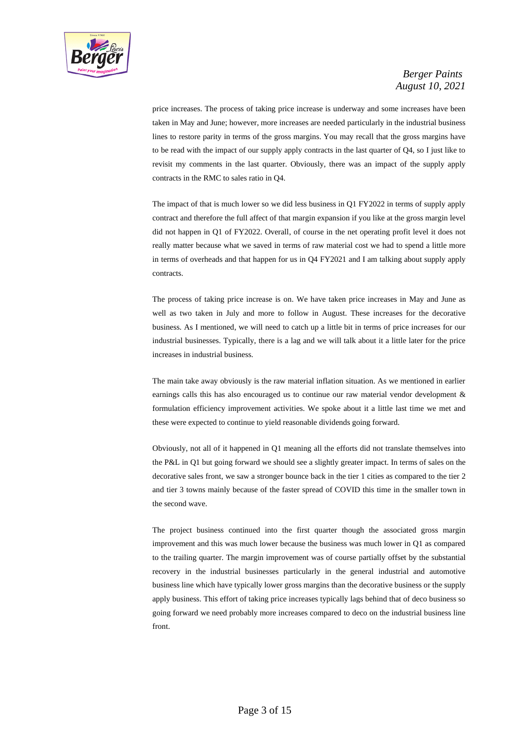

price increases. The process of taking price increase is underway and some increases have been taken in May and June; however, more increases are needed particularly in the industrial business lines to restore parity in terms of the gross margins. You may recall that the gross margins have to be read with the impact of our supply apply contracts in the last quarter of Q4, so I just like to revisit my comments in the last quarter. Obviously, there was an impact of the supply apply contracts in the RMC to sales ratio in Q4.

The impact of that is much lower so we did less business in Q1 FY2022 in terms of supply apply contract and therefore the full affect of that margin expansion if you like at the gross margin level did not happen in Q1 of FY2022. Overall, of course in the net operating profit level it does not really matter because what we saved in terms of raw material cost we had to spend a little more in terms of overheads and that happen for us in Q4 FY2021 and I am talking about supply apply contracts.

The process of taking price increase is on. We have taken price increases in May and June as well as two taken in July and more to follow in August. These increases for the decorative business. As I mentioned, we will need to catch up a little bit in terms of price increases for our industrial businesses. Typically, there is a lag and we will talk about it a little later for the price increases in industrial business.

The main take away obviously is the raw material inflation situation. As we mentioned in earlier earnings calls this has also encouraged us to continue our raw material vendor development & formulation efficiency improvement activities. We spoke about it a little last time we met and these were expected to continue to yield reasonable dividends going forward.

Obviously, not all of it happened in Q1 meaning all the efforts did not translate themselves into the P&L in Q1 but going forward we should see a slightly greater impact. In terms of sales on the decorative sales front, we saw a stronger bounce back in the tier 1 cities as compared to the tier 2 and tier 3 towns mainly because of the faster spread of COVID this time in the smaller town in the second wave.

The project business continued into the first quarter though the associated gross margin improvement and this was much lower because the business was much lower in Q1 as compared to the trailing quarter. The margin improvement was of course partially offset by the substantial recovery in the industrial businesses particularly in the general industrial and automotive business line which have typically lower gross margins than the decorative business or the supply apply business. This effort of taking price increases typically lags behind that of deco business so going forward we need probably more increases compared to deco on the industrial business line front.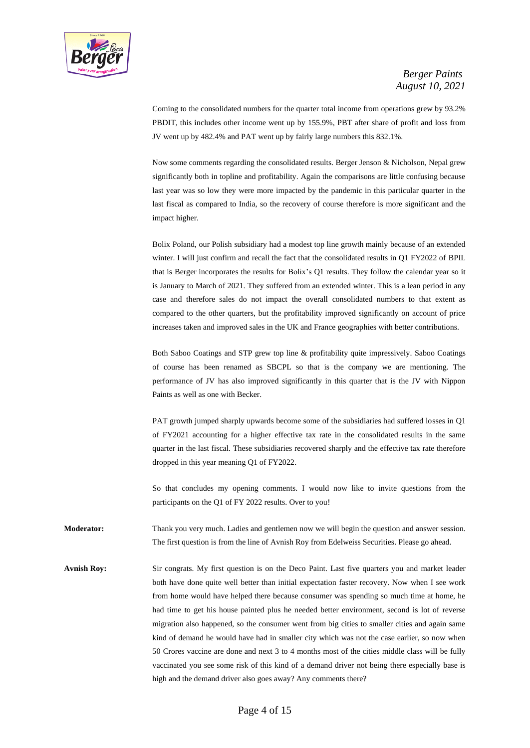

Coming to the consolidated numbers for the quarter total income from operations grew by 93.2% PBDIT, this includes other income went up by 155.9%, PBT after share of profit and loss from JV went up by 482.4% and PAT went up by fairly large numbers this 832.1%.

Now some comments regarding the consolidated results. Berger Jenson & Nicholson, Nepal grew significantly both in topline and profitability. Again the comparisons are little confusing because last year was so low they were more impacted by the pandemic in this particular quarter in the last fiscal as compared to India, so the recovery of course therefore is more significant and the impact higher.

Bolix Poland, our Polish subsidiary had a modest top line growth mainly because of an extended winter. I will just confirm and recall the fact that the consolidated results in Q1 FY2022 of BPIL that is Berger incorporates the results for Bolix's Q1 results. They follow the calendar year so it is January to March of 2021. They suffered from an extended winter. This is a lean period in any case and therefore sales do not impact the overall consolidated numbers to that extent as compared to the other quarters, but the profitability improved significantly on account of price increases taken and improved sales in the UK and France geographies with better contributions.

Both Saboo Coatings and STP grew top line & profitability quite impressively. Saboo Coatings of course has been renamed as SBCPL so that is the company we are mentioning. The performance of JV has also improved significantly in this quarter that is the JV with Nippon Paints as well as one with Becker.

PAT growth jumped sharply upwards become some of the subsidiaries had suffered losses in Q1 of FY2021 accounting for a higher effective tax rate in the consolidated results in the same quarter in the last fiscal. These subsidiaries recovered sharply and the effective tax rate therefore dropped in this year meaning Q1 of FY2022.

So that concludes my opening comments. I would now like to invite questions from the participants on the Q1 of FY 2022 results. Over to you!

**Moderator:** Thank you very much. Ladies and gentlemen now we will begin the question and answer session. The first question is from the line of Avnish Roy from Edelweiss Securities. Please go ahead.

Avnish Roy: Sir congrats. My first question is on the Deco Paint. Last five quarters you and market leader both have done quite well better than initial expectation faster recovery. Now when I see work from home would have helped there because consumer was spending so much time at home, he had time to get his house painted plus he needed better environment, second is lot of reverse migration also happened, so the consumer went from big cities to smaller cities and again same kind of demand he would have had in smaller city which was not the case earlier, so now when 50 Crores vaccine are done and next 3 to 4 months most of the cities middle class will be fully vaccinated you see some risk of this kind of a demand driver not being there especially base is high and the demand driver also goes away? Any comments there?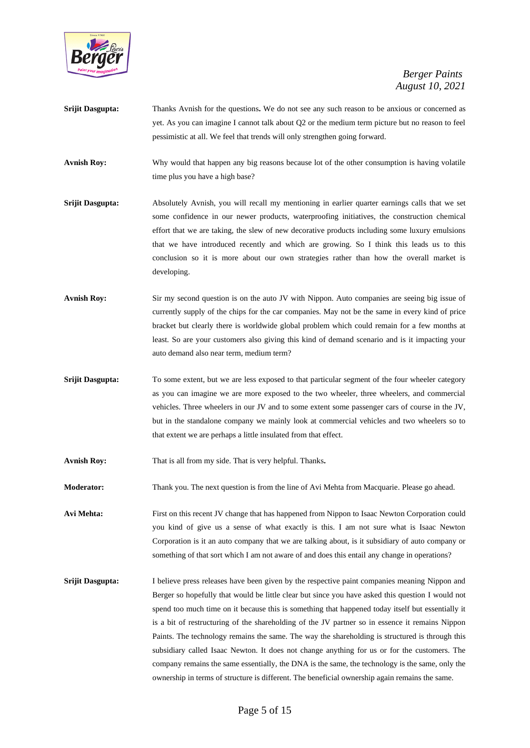

- **Srijit Dasgupta:** Thanks Avnish for the questions**.** We do not see any such reason to be anxious or concerned as yet. As you can imagine I cannot talk about Q2 or the medium term picture but no reason to feel pessimistic at all. We feel that trends will only strengthen going forward.
- **Avnish Roy:** Why would that happen any big reasons because lot of the other consumption is having volatile time plus you have a high base?
- **Srijit Dasgupta:** Absolutely Avnish, you will recall my mentioning in earlier quarter earnings calls that we set some confidence in our newer products, waterproofing initiatives, the construction chemical effort that we are taking, the slew of new decorative products including some luxury emulsions that we have introduced recently and which are growing. So I think this leads us to this conclusion so it is more about our own strategies rather than how the overall market is developing.
- Avnish Roy: Sir my second question is on the auto JV with Nippon. Auto companies are seeing big issue of currently supply of the chips for the car companies. May not be the same in every kind of price bracket but clearly there is worldwide global problem which could remain for a few months at least. So are your customers also giving this kind of demand scenario and is it impacting your auto demand also near term, medium term?
- **Srijit Dasgupta:** To some extent, but we are less exposed to that particular segment of the four wheeler category as you can imagine we are more exposed to the two wheeler, three wheelers, and commercial vehicles. Three wheelers in our JV and to some extent some passenger cars of course in the JV, but in the standalone company we mainly look at commercial vehicles and two wheelers so to that extent we are perhaps a little insulated from that effect.
- **Avnish Roy:** That is all from my side. That is very helpful. Thanks**.**
- **Moderator:** Thank you. The next question is from the line of Avi Mehta from Macquarie. Please go ahead.

**Avi Mehta:** First on this recent JV change that has happened from Nippon to Isaac Newton Corporation could you kind of give us a sense of what exactly is this. I am not sure what is Isaac Newton Corporation is it an auto company that we are talking about, is it subsidiary of auto company or something of that sort which I am not aware of and does this entail any change in operations?

**Srijit Dasgupta:** I believe press releases have been given by the respective paint companies meaning Nippon and Berger so hopefully that would be little clear but since you have asked this question I would not spend too much time on it because this is something that happened today itself but essentially it is a bit of restructuring of the shareholding of the JV partner so in essence it remains Nippon Paints. The technology remains the same. The way the shareholding is structured is through this subsidiary called Isaac Newton. It does not change anything for us or for the customers. The company remains the same essentially, the DNA is the same, the technology is the same, only the ownership in terms of structure is different. The beneficial ownership again remains the same.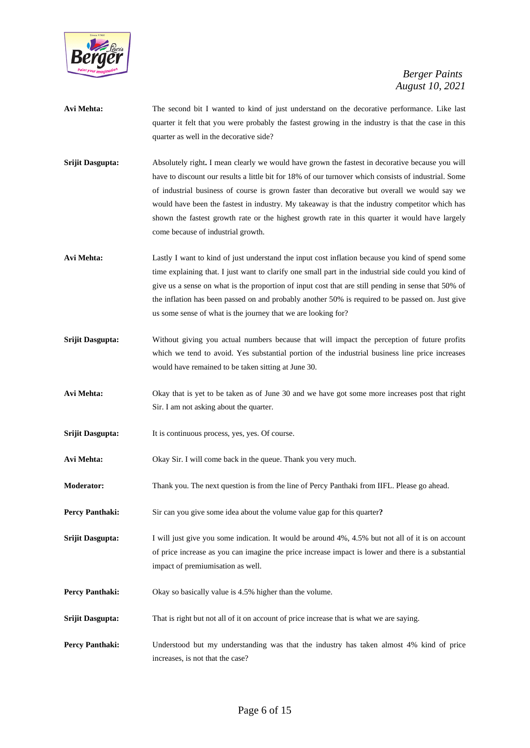

- **Avi Mehta:** The second bit I wanted to kind of just understand on the decorative performance. Like last quarter it felt that you were probably the fastest growing in the industry is that the case in this quarter as well in the decorative side?
- **Srijit Dasgupta:** Absolutely right. I mean clearly we would have grown the fastest in decorative because you will have to discount our results a little bit for 18% of our turnover which consists of industrial. Some of industrial business of course is grown faster than decorative but overall we would say we would have been the fastest in industry. My takeaway is that the industry competitor which has shown the fastest growth rate or the highest growth rate in this quarter it would have largely come because of industrial growth.
- **Avi Mehta:** Lastly I want to kind of just understand the input cost inflation because you kind of spend some time explaining that. I just want to clarify one small part in the industrial side could you kind of give us a sense on what is the proportion of input cost that are still pending in sense that 50% of the inflation has been passed on and probably another 50% is required to be passed on. Just give us some sense of what is the journey that we are looking for?
- **Srijit Dasgupta:** Without giving you actual numbers because that will impact the perception of future profits which we tend to avoid. Yes substantial portion of the industrial business line price increases would have remained to be taken sitting at June 30.
- **Avi Mehta:** Okay that is yet to be taken as of June 30 and we have got some more increases post that right Sir. I am not asking about the quarter.
- **Srijit Dasgupta:** It is continuous process, yes, yes. Of course.
- **Avi Mehta:** Okay Sir. I will come back in the queue. Thank you very much.
- **Moderator:** Thank you. The next question is from the line of Percy Panthaki from IIFL. Please go ahead.
- **Percy Panthaki:** Sir can you give some idea about the volume value gap for this quarter?
- **Srijit Dasgupta:** I will just give you some indication. It would be around 4%, 4.5% but not all of it is on account of price increase as you can imagine the price increase impact is lower and there is a substantial impact of premiumisation as well.
- **Percy Panthaki:** Okay so basically value is 4.5% higher than the volume.
- **Srijit Dasgupta:** That is right but not all of it on account of price increase that is what we are saying.
- **Percy Panthaki:** Understood but my understanding was that the industry has taken almost 4% kind of price increases, is not that the case?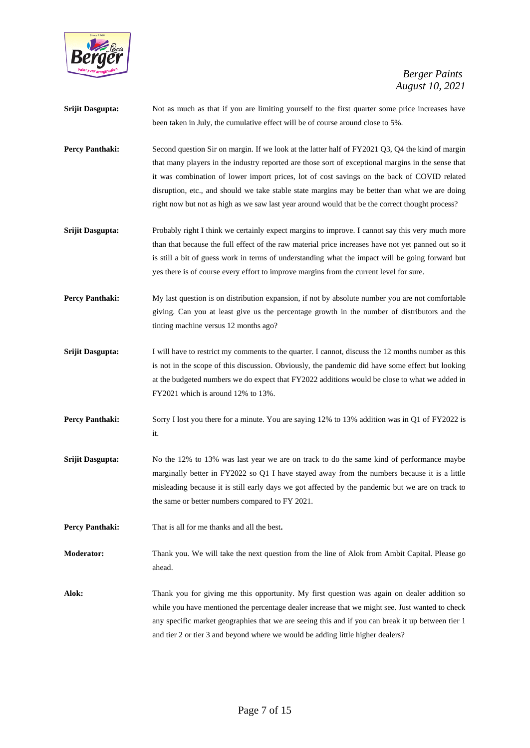

| Srijit Dasgupta:       | Not as much as that if you are limiting yourself to the first quarter some price increases have<br>been taken in July, the cumulative effect will be of course around close to 5%.                                                                                                                                                                                                                                                                                                                         |
|------------------------|------------------------------------------------------------------------------------------------------------------------------------------------------------------------------------------------------------------------------------------------------------------------------------------------------------------------------------------------------------------------------------------------------------------------------------------------------------------------------------------------------------|
| Percy Panthaki:        | Second question Sir on margin. If we look at the latter half of FY2021 Q3, Q4 the kind of margin<br>that many players in the industry reported are those sort of exceptional margins in the sense that<br>it was combination of lower import prices, lot of cost savings on the back of COVID related<br>disruption, etc., and should we take stable state margins may be better than what we are doing<br>right now but not as high as we saw last year around would that be the correct thought process? |
| Srijit Dasgupta:       | Probably right I think we certainly expect margins to improve. I cannot say this very much more<br>than that because the full effect of the raw material price increases have not yet panned out so it<br>is still a bit of guess work in terms of understanding what the impact will be going forward but<br>yes there is of course every effort to improve margins from the current level for sure.                                                                                                      |
| <b>Percy Panthaki:</b> | My last question is on distribution expansion, if not by absolute number you are not comfortable<br>giving. Can you at least give us the percentage growth in the number of distributors and the<br>tinting machine versus 12 months ago?                                                                                                                                                                                                                                                                  |
| Srijit Dasgupta:       | I will have to restrict my comments to the quarter. I cannot, discuss the 12 months number as this<br>is not in the scope of this discussion. Obviously, the pandemic did have some effect but looking<br>at the budgeted numbers we do expect that FY2022 additions would be close to what we added in<br>FY2021 which is around 12% to 13%.                                                                                                                                                              |
| Percy Panthaki:        | Sorry I lost you there for a minute. You are saying 12% to 13% addition was in Q1 of FY2022 is<br>it.                                                                                                                                                                                                                                                                                                                                                                                                      |
| Srijit Dasgupta:       | No the 12% to 13% was last year we are on track to do the same kind of performance maybe<br>marginally better in FY2022 so Q1 I have stayed away from the numbers because it is a little<br>misleading because it is still early days we got affected by the pandemic but we are on track to<br>the same or better numbers compared to FY 2021.                                                                                                                                                            |
| <b>Percy Panthaki:</b> | That is all for me thanks and all the best.                                                                                                                                                                                                                                                                                                                                                                                                                                                                |
| Moderator:             | Thank you. We will take the next question from the line of Alok from Ambit Capital. Please go<br>ahead.                                                                                                                                                                                                                                                                                                                                                                                                    |
| Alok:                  | Thank you for giving me this opportunity. My first question was again on dealer addition so<br>while you have mentioned the percentage dealer increase that we might see. Just wanted to check<br>any specific market geographies that we are seeing this and if you can break it up between tier 1<br>and tier 2 or tier 3 and beyond where we would be adding little higher dealers?                                                                                                                     |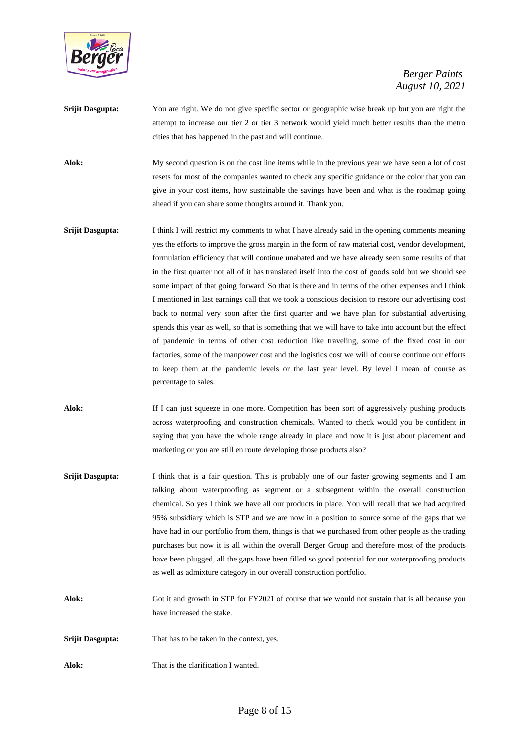

- **Srijit Dasgupta:** You are right. We do not give specific sector or geographic wise break up but you are right the attempt to increase our tier 2 or tier 3 network would yield much better results than the metro cities that has happened in the past and will continue.
- Alok: My second question is on the cost line items while in the previous year we have seen a lot of cost resets for most of the companies wanted to check any specific guidance or the color that you can give in your cost items, how sustainable the savings have been and what is the roadmap going ahead if you can share some thoughts around it. Thank you.
- **Srijit Dasgupta:** I think I will restrict my comments to what I have already said in the opening comments meaning yes the efforts to improve the gross margin in the form of raw material cost, vendor development, formulation efficiency that will continue unabated and we have already seen some results of that in the first quarter not all of it has translated itself into the cost of goods sold but we should see some impact of that going forward. So that is there and in terms of the other expenses and I think I mentioned in last earnings call that we took a conscious decision to restore our advertising cost back to normal very soon after the first quarter and we have plan for substantial advertising spends this year as well, so that is something that we will have to take into account but the effect of pandemic in terms of other cost reduction like traveling, some of the fixed cost in our factories, some of the manpower cost and the logistics cost we will of course continue our efforts to keep them at the pandemic levels or the last year level. By level I mean of course as percentage to sales.
- Alok: If I can just squeeze in one more. Competition has been sort of aggressively pushing products across waterproofing and construction chemicals. Wanted to check would you be confident in saying that you have the whole range already in place and now it is just about placement and marketing or you are still en route developing those products also?
- **Srijit Dasgupta:** I think that is a fair question. This is probably one of our faster growing segments and I am talking about waterproofing as segment or a subsegment within the overall construction chemical. So yes I think we have all our products in place. You will recall that we had acquired 95% subsidiary which is STP and we are now in a position to source some of the gaps that we have had in our portfolio from them, things is that we purchased from other people as the trading purchases but now it is all within the overall Berger Group and therefore most of the products have been plugged, all the gaps have been filled so good potential for our waterproofing products as well as admixture category in our overall construction portfolio.
- **Alok:** Got it and growth in STP for FY2021 of course that we would not sustain that is all because you have increased the stake.
- **Srijit Dasgupta:** That has to be taken in the context, yes.
- Alok: That is the clarification I wanted.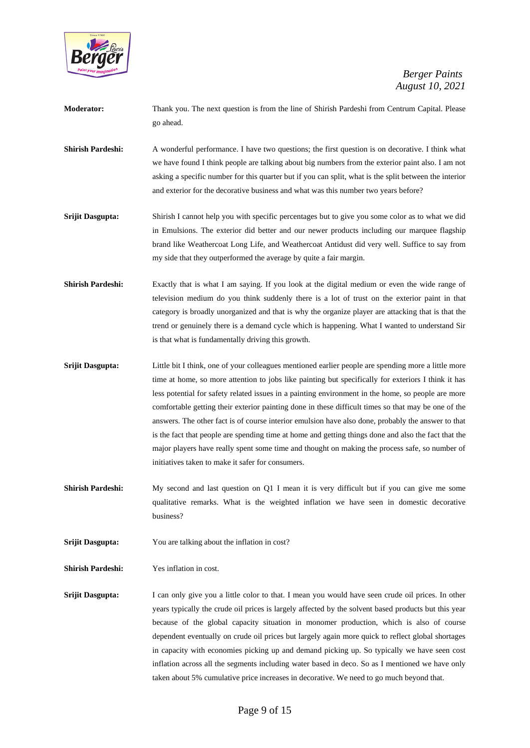

| <b>Moderator:</b> | Thank you. The next question is from the line of Shirish Pardeshi from Centrum Capital. Please |
|-------------------|------------------------------------------------------------------------------------------------|
|                   | go ahead.                                                                                      |

- **Shirish Pardeshi:** A wonderful performance. I have two questions; the first question is on decorative. I think what we have found I think people are talking about big numbers from the exterior paint also. I am not asking a specific number for this quarter but if you can split, what is the split between the interior and exterior for the decorative business and what was this number two years before?
- **Srijit Dasgupta:** Shirish I cannot help you with specific percentages but to give you some color as to what we did in Emulsions. The exterior did better and our newer products including our marquee flagship brand like Weathercoat Long Life, and Weathercoat Antidust did very well. Suffice to say from my side that they outperformed the average by quite a fair margin.
- **Shirish Pardeshi:** Exactly that is what I am saying. If you look at the digital medium or even the wide range of television medium do you think suddenly there is a lot of trust on the exterior paint in that category is broadly unorganized and that is why the organize player are attacking that is that the trend or genuinely there is a demand cycle which is happening. What I wanted to understand Sir is that what is fundamentally driving this growth.
- **Srijit Dasgupta:** Little bit I think, one of your colleagues mentioned earlier people are spending more a little more time at home, so more attention to jobs like painting but specifically for exteriors I think it has less potential for safety related issues in a painting environment in the home, so people are more comfortable getting their exterior painting done in these difficult times so that may be one of the answers. The other fact is of course interior emulsion have also done, probably the answer to that is the fact that people are spending time at home and getting things done and also the fact that the major players have really spent some time and thought on making the process safe, so number of initiatives taken to make it safer for consumers.
- **Shirish Pardeshi:** My second and last question on Q1 I mean it is very difficult but if you can give me some qualitative remarks. What is the weighted inflation we have seen in domestic decorative business?
- **Srijit Dasgupta:** You are talking about the inflation in cost?

**Shirish Pardeshi:** Yes inflation in cost.

**Srijit Dasgupta:** I can only give you a little color to that. I mean you would have seen crude oil prices. In other years typically the crude oil prices is largely affected by the solvent based products but this year because of the global capacity situation in monomer production, which is also of course dependent eventually on crude oil prices but largely again more quick to reflect global shortages in capacity with economies picking up and demand picking up. So typically we have seen cost inflation across all the segments including water based in deco. So as I mentioned we have only taken about 5% cumulative price increases in decorative. We need to go much beyond that.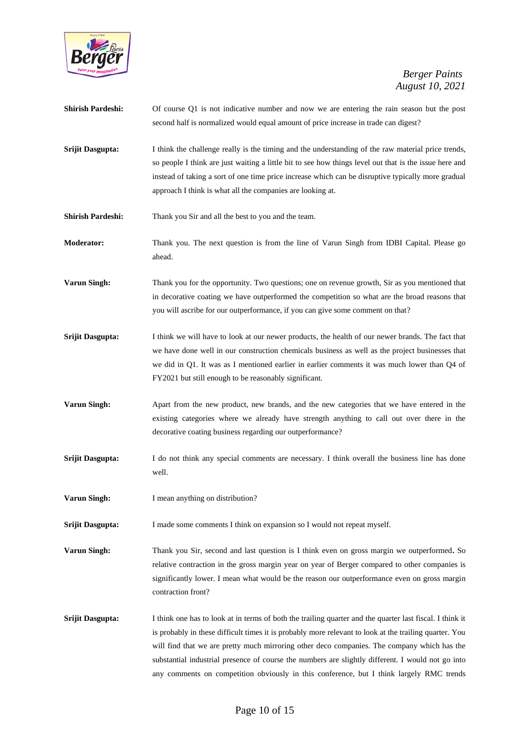

| <b>Shirish Pardeshi:</b> | Of course Q1 is not indicative number and now we are entering the rain season but the post<br>second half is normalized would equal amount of price increase in trade can digest?                                                                                                                                                                                                                                      |
|--------------------------|------------------------------------------------------------------------------------------------------------------------------------------------------------------------------------------------------------------------------------------------------------------------------------------------------------------------------------------------------------------------------------------------------------------------|
| Srijit Dasgupta:         | I think the challenge really is the timing and the understanding of the raw material price trends,<br>so people I think are just waiting a little bit to see how things level out that is the issue here and<br>instead of taking a sort of one time price increase which can be disruptive typically more gradual<br>approach I think is what all the companies are looking at.                                       |
| <b>Shirish Pardeshi:</b> | Thank you Sir and all the best to you and the team.                                                                                                                                                                                                                                                                                                                                                                    |
| Moderator:               | Thank you. The next question is from the line of Varun Singh from IDBI Capital. Please go<br>ahead.                                                                                                                                                                                                                                                                                                                    |
| <b>Varun Singh:</b>      | Thank you for the opportunity. Two questions; one on revenue growth, Sir as you mentioned that<br>in decorative coating we have outperformed the competition so what are the broad reasons that<br>you will ascribe for our outperformance, if you can give some comment on that?                                                                                                                                      |
| Srijit Dasgupta:         | I think we will have to look at our newer products, the health of our newer brands. The fact that<br>we have done well in our construction chemicals business as well as the project businesses that<br>we did in Q1. It was as I mentioned earlier in earlier comments it was much lower than Q4 of<br>FY2021 but still enough to be reasonably significant.                                                          |
| <b>Varun Singh:</b>      | Apart from the new product, new brands, and the new categories that we have entered in the<br>existing categories where we already have strength anything to call out over there in the<br>decorative coating business regarding our outperformance?                                                                                                                                                                   |
| Srijit Dasgupta:         | I do not think any special comments are necessary. I think overall the business line has done<br>well.                                                                                                                                                                                                                                                                                                                 |
| Varun Singh:             | I mean anything on distribution?                                                                                                                                                                                                                                                                                                                                                                                       |
| Srijit Dasgupta:         | I made some comments I think on expansion so I would not repeat myself.                                                                                                                                                                                                                                                                                                                                                |
| Varun Singh:             | Thank you Sir, second and last question is I think even on gross margin we outperformed. So<br>relative contraction in the gross margin year on year of Berger compared to other companies is<br>significantly lower. I mean what would be the reason our outperformance even on gross margin<br>contraction front?                                                                                                    |
| Srijit Dasgupta:         | I think one has to look at in terms of both the trailing quarter and the quarter last fiscal. I think it<br>is probably in these difficult times it is probably more relevant to look at the trailing quarter. You<br>will find that we are pretty much mirroring other deco companies. The company which has the<br>substantial industrial presence of course the numbers are slightly different. I would not go into |

any comments on competition obviously in this conference, but I think largely RMC trends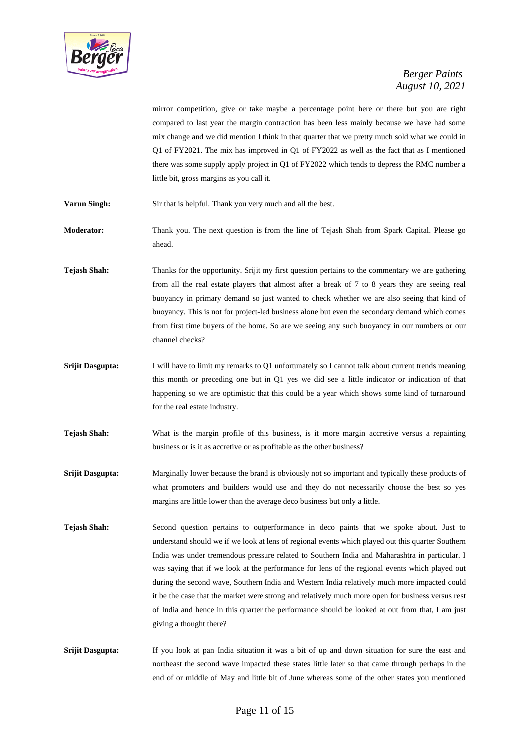

mirror competition, give or take maybe a percentage point here or there but you are right compared to last year the margin contraction has been less mainly because we have had some mix change and we did mention I think in that quarter that we pretty much sold what we could in Q1 of FY2021. The mix has improved in Q1 of FY2022 as well as the fact that as I mentioned there was some supply apply project in Q1 of FY2022 which tends to depress the RMC number a little bit, gross margins as you call it.

**Varun Singh:** Sir that is helpful. Thank you very much and all the best.

**Moderator:** Thank you. The next question is from the line of Tejash Shah from Spark Capital. Please go ahead.

**Tejash Shah:** Thanks for the opportunity. Srijit my first question pertains to the commentary we are gathering from all the real estate players that almost after a break of 7 to 8 years they are seeing real buoyancy in primary demand so just wanted to check whether we are also seeing that kind of buoyancy. This is not for project-led business alone but even the secondary demand which comes from first time buyers of the home. So are we seeing any such buoyancy in our numbers or our channel checks?

- **Srijit Dasgupta:** I will have to limit my remarks to Q1 unfortunately so I cannot talk about current trends meaning this month or preceding one but in Q1 yes we did see a little indicator or indication of that happening so we are optimistic that this could be a year which shows some kind of turnaround for the real estate industry.
- **Tejash Shah:** What is the margin profile of this business, is it more margin accretive versus a repainting business or is it as accretive or as profitable as the other business?
- **Srijit Dasgupta:** Marginally lower because the brand is obviously not so important and typically these products of what promoters and builders would use and they do not necessarily choose the best so yes margins are little lower than the average deco business but only a little.
- **Tejash Shah:** Second question pertains to outperformance in deco paints that we spoke about. Just to understand should we if we look at lens of regional events which played out this quarter Southern India was under tremendous pressure related to Southern India and Maharashtra in particular. I was saying that if we look at the performance for lens of the regional events which played out during the second wave, Southern India and Western India relatively much more impacted could it be the case that the market were strong and relatively much more open for business versus rest of India and hence in this quarter the performance should be looked at out from that, I am just giving a thought there?

**Srijit Dasgupta:** If you look at pan India situation it was a bit of up and down situation for sure the east and northeast the second wave impacted these states little later so that came through perhaps in the end of or middle of May and little bit of June whereas some of the other states you mentioned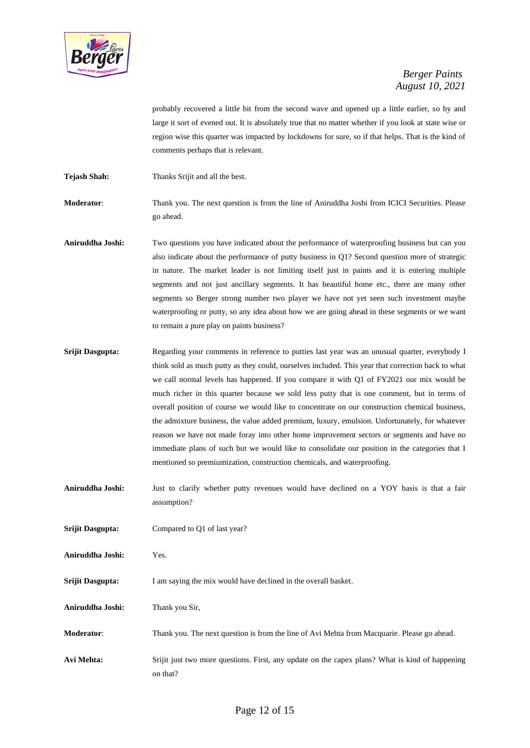

probably recovered a little bit from the second wave and opened up a little earlier, so by and large it sort of evened out. It is absolutely true that no matter whether if you look at state wise or region wise this quarter was impacted by lockdowns for sure, so if that helps. That is the kind of comments perhaps that is relevant.

**Tejash Shah:** Thanks Srijit and all the best.

**Moderator**: Thank you. The next question is from the line of Aniruddha Joshi from ICICI Securities. Please go ahead.

- **Aniruddha Joshi:** Two questions you have indicated about the performance of waterproofing business but can you also indicate about the performance of putty business in Q1? Second question more of strategic in nature. The market leader is not limiting itself just in paints and it is entering multiple segments and not just ancillary segments. It has beautiful home etc., there are many other segments so Berger strong number two player we have not yet seen such investment maybe waterproofing or putty, so any idea about how we are going ahead in these segments or we want to remain a pure play on paints business?
- **Srijit Dasgupta:** Regarding your comments in reference to putties last year was an unusual quarter, everybody I think sold as much putty as they could, ourselves included. This year that correction back to what we call normal levels has happened. If you compare it with Q1 of FY2021 our mix would be much richer in this quarter because we sold less putty that is one comment, but in terms of overall position of course we would like to concentrate on our construction chemical business, the admixture business, the value added premium, luxury, emulsion. Unfortunately, for whatever reason we have not made foray into other home improvement sectors or segments and have no immediate plans of such but we would like to consolidate our position in the categories that I mentioned so premiumization, construction chemicals, and waterproofing.
- **Aniruddha Joshi:** Just to clarify whether putty revenues would have declined on a YOY basis is that a fair assumption?

**Srijit Dasgupta:** Compared to Q1 of last year?

- **Aniruddha Joshi:** Yes.
- **Srijit Dasgupta:** I am saying the mix would have declined in the overall basket.

**Aniruddha Joshi:** Thank you Sir,

- **Moderator**: Thank you. The next question is from the line of Avi Mehta from Macquarie. Please go ahead.
- **Avi Mehta:** Srijit just two more questions. First, any update on the capex plans? What is kind of happening on that?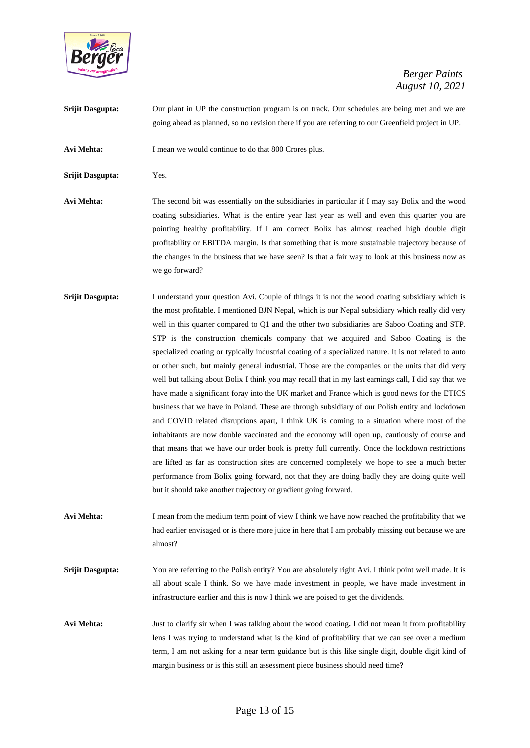

**Srijit Dasgupta:** Our plant in UP the construction program is on track. Our schedules are being met and we are going ahead as planned, so no revision there if you are referring to our Greenfield project in UP.

**Avi Mehta:** I mean we would continue to do that 800 Crores plus.

**Srijit Dasgupta:** Yes.

**Avi Mehta:** The second bit was essentially on the subsidiaries in particular if I may say Bolix and the wood coating subsidiaries. What is the entire year last year as well and even this quarter you are pointing healthy profitability. If I am correct Bolix has almost reached high double digit profitability or EBITDA margin. Is that something that is more sustainable trajectory because of the changes in the business that we have seen? Is that a fair way to look at this business now as we go forward?

- **Srijit Dasgupta:** I understand your question Avi. Couple of things it is not the wood coating subsidiary which is the most profitable. I mentioned BJN Nepal, which is our Nepal subsidiary which really did very well in this quarter compared to Q1 and the other two subsidiaries are Saboo Coating and STP. STP is the construction chemicals company that we acquired and Saboo Coating is the specialized coating or typically industrial coating of a specialized nature. It is not related to auto or other such, but mainly general industrial. Those are the companies or the units that did very well but talking about Bolix I think you may recall that in my last earnings call, I did say that we have made a significant foray into the UK market and France which is good news for the ETICS business that we have in Poland. These are through subsidiary of our Polish entity and lockdown and COVID related disruptions apart, I think UK is coming to a situation where most of the inhabitants are now double vaccinated and the economy will open up, cautiously of course and that means that we have our order book is pretty full currently. Once the lockdown restrictions are lifted as far as construction sites are concerned completely we hope to see a much better performance from Bolix going forward, not that they are doing badly they are doing quite well but it should take another trajectory or gradient going forward.
- **Avi Mehta:** I mean from the medium term point of view I think we have now reached the profitability that we had earlier envisaged or is there more juice in here that I am probably missing out because we are almost?
- **Srijit Dasgupta:** You are referring to the Polish entity? You are absolutely right Avi. I think point well made. It is all about scale I think. So we have made investment in people, we have made investment in infrastructure earlier and this is now I think we are poised to get the dividends.
- **Avi Mehta:** Just to clarify sir when I was talking about the wood coating**.** I did not mean it from profitability lens I was trying to understand what is the kind of profitability that we can see over a medium term, I am not asking for a near term guidance but is this like single digit, double digit kind of margin business or is this still an assessment piece business should need time**?**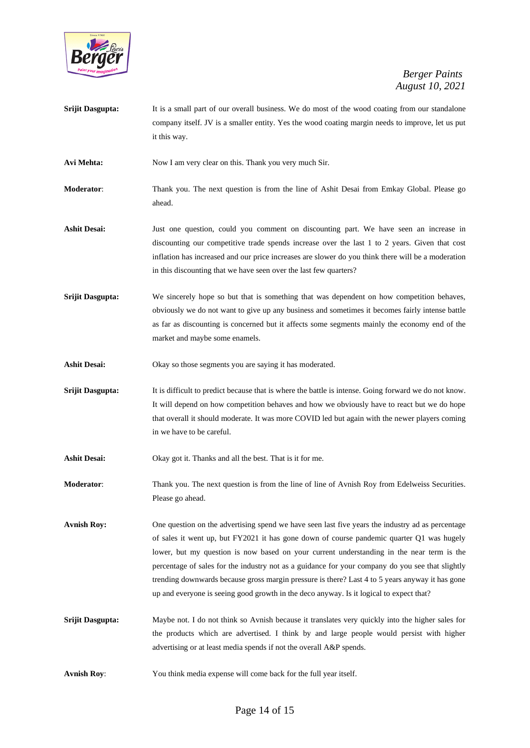

- **Srijit Dasgupta:** It is a small part of our overall business. We do most of the wood coating from our standalone company itself. JV is a smaller entity. Yes the wood coating margin needs to improve, let us put it this way.
- Avi Mehta: Now I am very clear on this. Thank you very much Sir.
- **Moderator**: Thank you. The next question is from the line of Ashit Desai from Emkay Global. Please go ahead.
- **Ashit Desai:** Just one question, could you comment on discounting part. We have seen an increase in discounting our competitive trade spends increase over the last 1 to 2 years. Given that cost inflation has increased and our price increases are slower do you think there will be a moderation in this discounting that we have seen over the last few quarters?
- **Srijit Dasgupta:** We sincerely hope so but that is something that was dependent on how competition behaves, obviously we do not want to give up any business and sometimes it becomes fairly intense battle as far as discounting is concerned but it affects some segments mainly the economy end of the market and maybe some enamels.
- Ashit Desai: Okay so those segments you are saying it has moderated.
- **Srijit Dasgupta:** It is difficult to predict because that is where the battle is intense. Going forward we do not know. It will depend on how competition behaves and how we obviously have to react but we do hope that overall it should moderate. It was more COVID led but again with the newer players coming in we have to be careful.
- **Ashit Desai:** Okay got it. Thanks and all the best. That is it for me.
- **Moderator:** Thank you. The next question is from the line of line of Avnish Roy from Edelweiss Securities. Please go ahead.
- Avnish Roy: One question on the advertising spend we have seen last five years the industry ad as percentage of sales it went up, but FY2021 it has gone down of course pandemic quarter Q1 was hugely lower, but my question is now based on your current understanding in the near term is the percentage of sales for the industry not as a guidance for your company do you see that slightly trending downwards because gross margin pressure is there? Last 4 to 5 years anyway it has gone up and everyone is seeing good growth in the deco anyway. Is it logical to expect that?
- **Srijit Dasgupta:** Maybe not. I do not think so Avnish because it translates very quickly into the higher sales for the products which are advertised. I think by and large people would persist with higher advertising or at least media spends if not the overall A&P spends.
- **Avnish Roy**: You think media expense will come back for the full year itself.